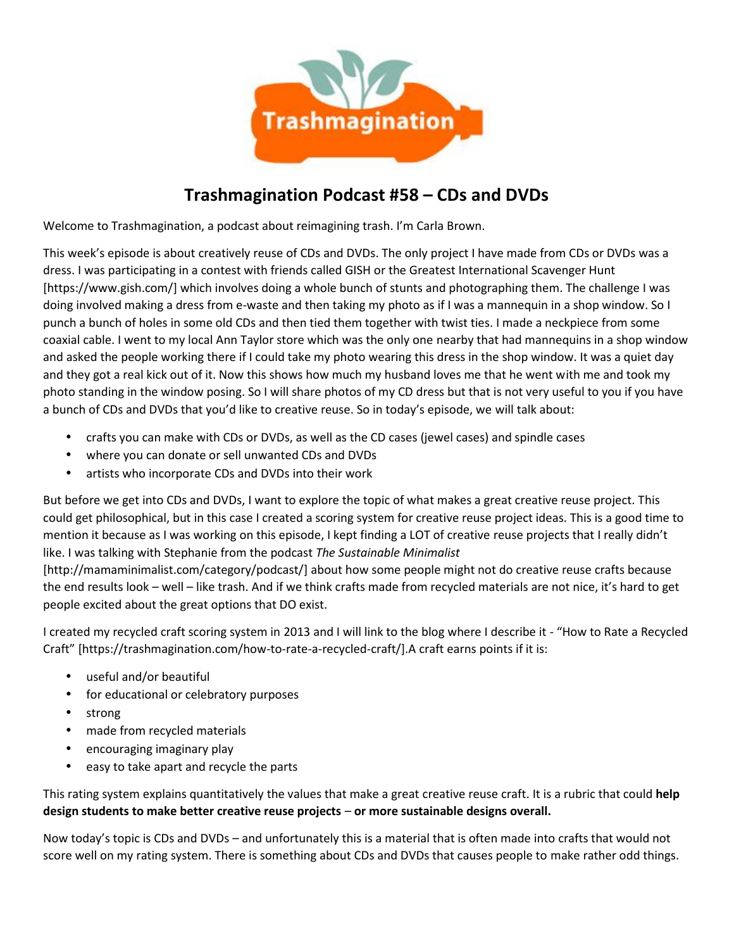

# **Trashmagination Podcast #58 – CDs and DVDs**

Welcome to Trashmagination, a podcast about reimagining trash. I'm Carla Brown.

This week's episode is about creatively reuse of CDs and DVDs. The only project I have made from CDs or DVDs was a dress. I was participating in a contest with friends called GISH or the Greatest International Scavenger Hunt [https://www.gish.com/] which involves doing a whole bunch of stunts and photographing them. The challenge I was doing involved making a dress from e-waste and then taking my photo as if I was a mannequin in a shop window. So I punch a bunch of holes in some old CDs and then tied them together with twist ties. I made a neckpiece from some coaxial cable. I went to my local Ann Taylor store which was the only one nearby that had mannequins in a shop window and asked the people working there if I could take my photo wearing this dress in the shop window. It was a quiet day and they got a real kick out of it. Now this shows how much my husband loves me that he went with me and took my photo standing in the window posing. So I will share photos of my CD dress but that is not very useful to you if you have a bunch of CDs and DVDs that you'd like to creative reuse. So in today's episode, we will talk about:

- crafts you can make with CDs or DVDs, as well as the CD cases (jewel cases) and spindle cases
- where you can donate or sell unwanted CDs and DVDs
- artists who incorporate CDs and DVDs into their work

But before we get into CDs and DVDs, I want to explore the topic of what makes a great creative reuse project. This could get philosophical, but in this case I created a scoring system for creative reuse project ideas. This is a good time to mention it because as I was working on this episode, I kept finding a LOT of creative reuse projects that I really didn't like. I was talking with Stephanie from the podcast *The Sustainable Minimalist*

[http://mamaminimalist.com/category/podcast/] about how some people might not do creative reuse crafts because the end results look – well – like trash. And if we think crafts made from recycled materials are not nice, it's hard to get people excited about the great options that DO exist.

I created my recycled craft scoring system in 2013 and I will link to the blog where I describe it - "How to Rate a Recycled Craft" [https://trashmagination.com/how-to-rate-a-recycled-craft/].A craft earns points if it is:

- useful and/or beautiful
- for educational or celebratory purposes
- strong
- made from recycled materials
- encouraging imaginary play
- easy to take apart and recycle the parts

This rating system explains quantitatively the values that make a great creative reuse craft. It is a rubric that could **help design students to make better creative reuse projects** – **or more sustainable designs overall.**

Now today's topic is CDs and DVDs – and unfortunately this is a material that is often made into crafts that would not score well on my rating system. There is something about CDs and DVDs that causes people to make rather odd things.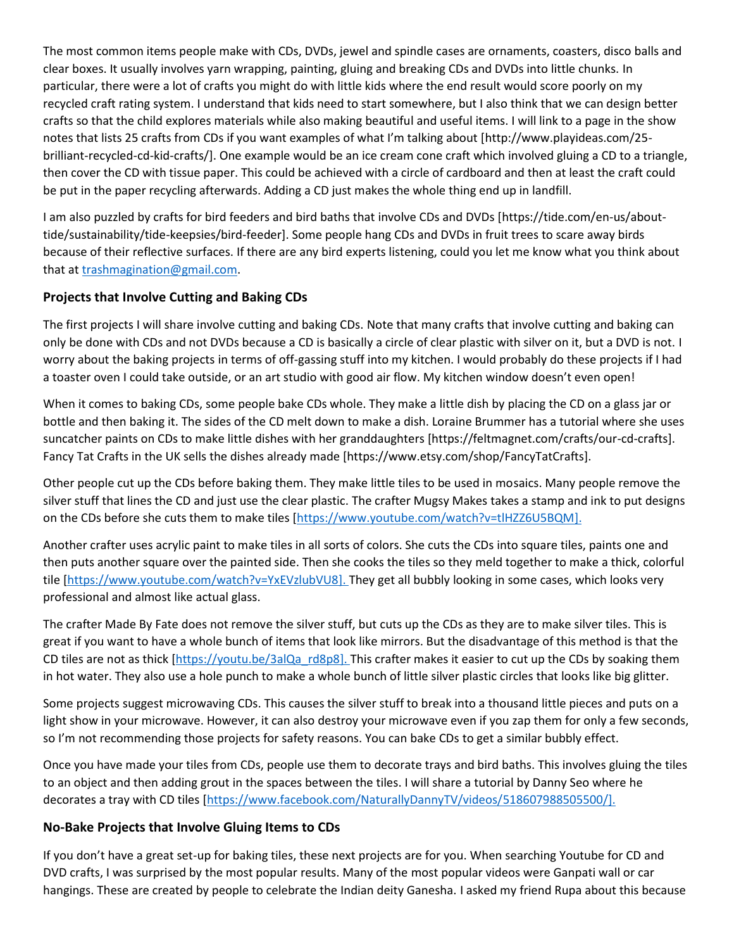The most common items people make with CDs, DVDs, jewel and spindle cases are ornaments, coasters, disco balls and clear boxes. It usually involves yarn wrapping, painting, gluing and breaking CDs and DVDs into little chunks. In particular, there were a lot of crafts you might do with little kids where the end result would score poorly on my recycled craft rating system. I understand that kids need to start somewhere, but I also think that we can design better crafts so that the child explores materials while also making beautiful and useful items. I will link to a page in the show notes that lists 25 crafts from CDs if you want examples of what I'm talking about [http://www.playideas.com/25 brilliant-recycled-cd-kid-crafts/]. One example would be an ice cream cone craft which involved gluing a CD to a triangle, then cover the CD with tissue paper. This could be achieved with a circle of cardboard and then at least the craft could be put in the paper recycling afterwards. Adding a CD just makes the whole thing end up in landfill.

I am also puzzled by crafts for bird feeders and bird baths that involve CDs and DVDs [https://tide.com/en-us/about tide/sustainability/tide-keepsies/bird-feeder]. Some people hang CDs and DVDs in fruit trees to scare away birds because of their reflective surfaces. If there are any bird experts listening, could you let me know what you think about that at trashmagination@gmail.com.

#### **Projects that Involve Cutting and Baking CDs**

The first projects I will share involve cutting and baking CDs. Note that many crafts that involve cutting and baking can only be done with CDs and not DVDs because a CD is basically a circle of clear plastic with silver on it, but a DVD is not. I worry about the baking projects in terms of off-gassing stuff into my kitchen. I would probably do these projects if I had a toaster oven I could take outside, or an art studio with good air flow. My kitchen window doesn't even open!

When it comes to baking CDs, some people bake CDs whole. They make a little dish by placing the CD on a glass jar or bottle and then baking it. The sides of the CD melt down to make a dish. Loraine Brummer has a tutorial where she uses suncatcher paints on CDs to make little dishes with her granddaughters [https://feltmagnet.com/crafts/our-cd-crafts]. Fancy Tat Crafts in the UK sells the dishes already made [https://www.etsy.com/shop/FancyTatCrafts].

Other people cut up the CDs before baking them. They make little tiles to be used in mosaics. Many people remove the silver stuff that lines the CD and just use the clear plastic. The crafter Mugsy Makes takes a stamp and ink to put designs on the CDs before she cuts them to make tiles [https://www.youtube.com/watch?v=tlHZZ6U5BQM].

Another crafter uses acrylic paint to make tiles in all sorts of colors. She cuts the CDs into square tiles, paints one and then puts another square over the painted side. Then she cooks the tiles so they meld together to make a thick, colorful tile [https://www.youtube.com/watch?v=YxEVzlubVU8]. They get all bubbly looking in some cases, which looks very professional and almost like actual glass.

The crafter Made By Fate does not remove the silver stuff, but cuts up the CDs as they are to make silver tiles. This is great if you want to have a whole bunch of items that look like mirrors. But the disadvantage of this method is that the CD tiles are not as thick [https://youtu.be/3alQa\_rd8p8]. This crafter makes it easier to cut up the CDs by soaking them in hot water. They also use a hole punch to make a whole bunch of little silver plastic circles that looks like big glitter.

Some projects suggest microwaving CDs. This causes the silver stuff to break into a thousand little pieces and puts on a light show in your microwave. However, it can also destroy your microwave even if you zap them for only a few seconds, so I'm not recommending those projects for safety reasons. You can bake CDs to get a similar bubbly effect.

Once you have made your tiles from CDs, people use them to decorate trays and bird baths. This involves gluing the tiles to an object and then adding grout in the spaces between the tiles. I will share a tutorial by Danny Seo where he decorates a tray with CD tiles [https://www.facebook.com/NaturallyDannyTV/videos/518607988505500/].

#### **No-Bake Projects that Involve Gluing Items to CDs**

If you don't have a great set-up for baking tiles, these next projects are for you. When searching Youtube for CD and DVD crafts, I was surprised by the most popular results. Many of the most popular videos were Ganpati wall or car hangings. These are created by people to celebrate the Indian deity Ganesha. I asked my friend Rupa about this because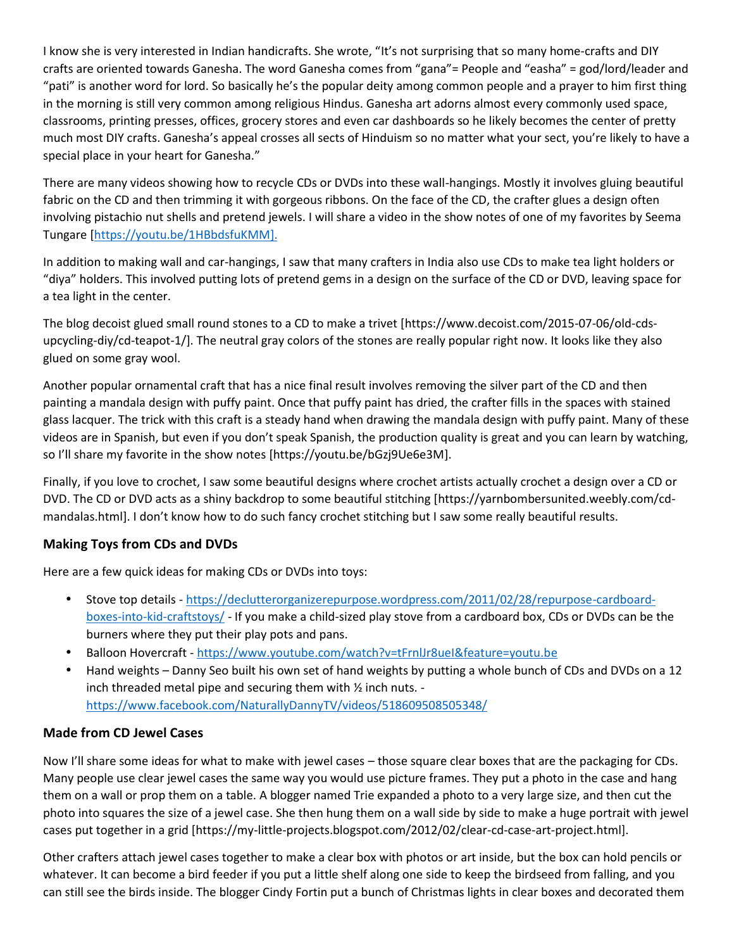I know she is very interested in Indian handicrafts. She wrote, "It's not surprising that so many home-crafts and DIY crafts are oriented towards Ganesha. The word Ganesha comes from "gana"= People and "easha" = god/lord/leader and "pati" is another word for lord. So basically he's the popular deity among common people and a prayer to him first thing in the morning is still very common among religious Hindus. Ganesha art adorns almost every commonly used space, classrooms, printing presses, offices, grocery stores and even car dashboards so he likely becomes the center of pretty much most DIY crafts. Ganesha's appeal crosses all sects of Hinduism so no matter what your sect, you're likely to have a special place in your heart for Ganesha."

There are many videos showing how to recycle CDs or DVDs into these wall-hangings. Mostly it involves gluing beautiful fabric on the CD and then trimming it with gorgeous ribbons. On the face of the CD, the crafter glues a design often involving pistachio nut shells and pretend jewels. I will share a video in the show notes of one of my favorites by Seema Tungare [https://youtu.be/1HBbdsfuKMM].

In addition to making wall and car-hangings, I saw that many crafters in India also use CDs to make tea light holders or "diya" holders. This involved putting lots of pretend gems in a design on the surface of the CD or DVD, leaving space for a tea light in the center.

The blog decoist glued small round stones to a CD to make a trivet [https://www.decoist.com/2015-07-06/old-cds upcycling-diy/cd-teapot-1/]. The neutral gray colors of the stones are really popular right now. It looks like they also glued on some gray wool.

Another popular ornamental craft that has a nice final result involves removing the silver part of the CD and then painting a mandala design with puffy paint. Once that puffy paint has dried, the crafter fills in the spaces with stained glass lacquer. The trick with this craft is a steady hand when drawing the mandala design with puffy paint. Many of these videos are in Spanish, but even if you don't speak Spanish, the production quality is great and you can learn by watching, so I'll share my favorite in the show notes [https://youtu.be/bGzj9Ue6e3M].

Finally, if you love to crochet, I saw some beautiful designs where crochet artists actually crochet a design over a CD or DVD. The CD or DVD acts as a shiny backdrop to some beautiful stitching [https://yarnbombersunited.weebly.com/cd mandalas.html]. I don't know how to do such fancy crochet stitching but I saw some really beautiful results.

# **Making Toys from CDs and DVDs**

Here are a few quick ideas for making CDs or DVDs into toys:

- Stove top details -https://declutterorganizerepurpose.wordpress.com/2011/02/28/repurpose-cardboard boxes-into-kid-craftstoys/ - If you make a child-sized play stove from a cardboard box, CDs or DVDs can be the burners where they put their play pots and pans.
- Balloon Hovercraft https://www.youtube.com/watch?v=tFrnlJr8ueI&feature=youtu.be
- Hand weights Danny Seo built his own set of hand weights by putting a whole bunch of CDs and DVDs on a 12 inch threaded metal pipe and securing them with ½ inch nuts. https://www.facebook.com/NaturallyDannyTV/videos/518609508505348/

# **Made from CD Jewel Cases**

Now I'll share some ideas for what to make with jewel cases – those square clear boxes that are the packaging for CDs. Many people use clear jewel cases the same way you would use picture frames. They put a photo in the case and hang them on a wall or prop them on a table. A blogger named Trie expanded a photo to a very large size, and then cut the photo into squares the size of a jewel case. She then hung them on a wall side by side to make a huge portrait with jewel cases put together in a grid [https://my-little-projects.blogspot.com/2012/02/clear-cd-case-art-project.html].

Other crafters attach jewel cases together to make a clear box with photos or art inside, but the box can hold pencils or whatever. It can become a bird feeder if you put a little shelf along one side to keep the birdseed from falling, and you can still see the birds inside. The blogger Cindy Fortin put a bunch of Christmas lights in clear boxes and decorated them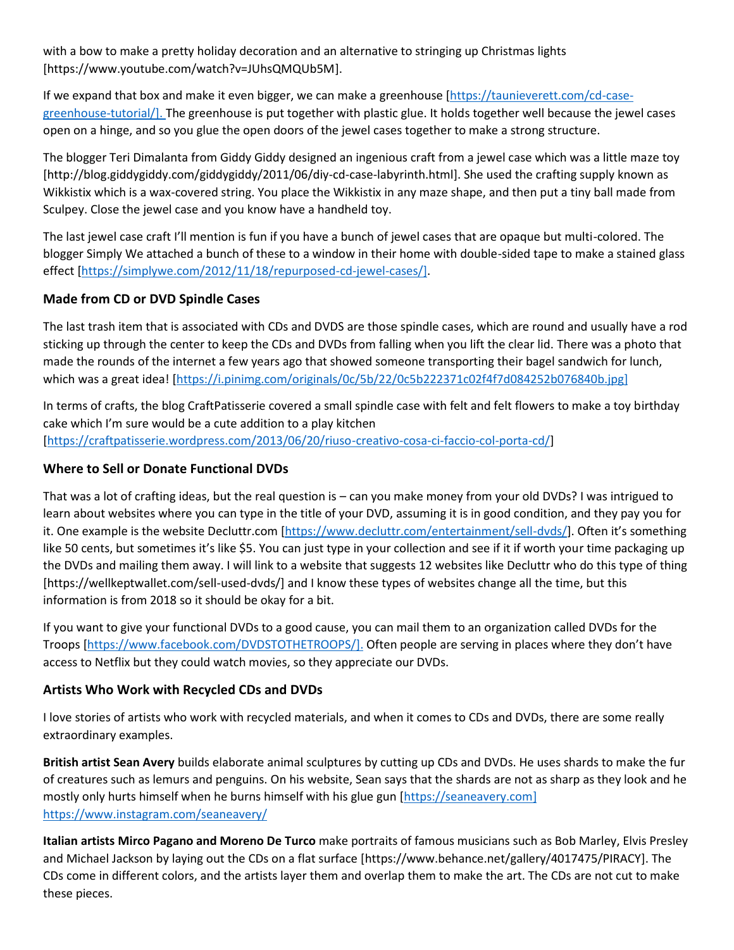with a bow to make a pretty holiday decoration and an alternative to stringing up Christmas lights [https://www.youtube.com/watch?v=JUhsQMQUb5M].

If we expand that box and make it even bigger, we can make a greenhouse [https://taunieverett.com/cd-case greenhouse-tutorial/]. The greenhouse is put together with plastic glue. It holds together well because the jewel cases open on a hinge, and so you glue the open doors of the jewel cases together to make a strong structure.

The blogger Teri Dimalanta from Giddy Giddy designed an ingenious craft from a jewel case which was a little maze toy [http://blog.giddygiddy.com/giddygiddy/2011/06/diy-cd-case-labyrinth.html]. She used the crafting supply known as Wikkistix which is a wax-covered string. You place the Wikkistix in any maze shape, and then put a tiny ball made from Sculpey. Close the jewel case and you know have a handheld toy.

The last jewel case craft I'll mention is fun if you have a bunch of jewel cases that are opaque but multi-colored. The blogger Simply We attached a bunch of these to a window in their home with double-sided tape to make a stained glass effect [https://simplywe.com/2012/11/18/repurposed-cd-jewel-cases/].

# **Made from CD or DVD Spindle Cases**

The last trash item that is associated with CDs and DVDS are those spindle cases, which are round and usually have a rod sticking up through the center to keep the CDs and DVDs from falling when you lift the clear lid. There was a photo that made the rounds of the internet a few years ago that showed someone transporting their bagel sandwich for lunch, which was a great idea! [https://i.pinimg.com/originals/0c/5b/22/0c5b222371c02f4f7d084252b076840b.jpg]

In terms of crafts, the blog CraftPatisserie covered a small spindle case with felt and felt flowers to make a toy birthday cake which I'm sure would be a cute addition to a play kitchen [https://craftpatisserie.wordpress.com/2013/06/20/riuso-creativo-cosa-ci-faccio-col-porta-cd/]

# **Where to Sell or Donate Functional DVDs**

That was a lot of crafting ideas, but the real question is – can you make money from your old DVDs? I was intrigued to learn about websites where you can type in the title of your DVD, assuming it is in good condition, and they pay you for it. One example is the website Decluttr.com [https://www.decluttr.com/entertainment/sell-dvds/]. Often it's something like 50 cents, but sometimes it's like \$5. You can just type in your collection and see if it if worth your time packaging up the DVDs and mailing them away. I will link to a website that suggests 12 websites like Decluttr who do this type of thing [https://wellkeptwallet.com/sell-used-dvds/] and I know these types of websites change all the time, but this information is from 2018 so it should be okay for a bit.

If you want to give your functional DVDs to a good cause, you can mail them to an organization called DVDs for the Troops [https://www.facebook.com/DVDSTOTHETROOPS/]. Often people are serving in places where they don't have access to Netflix but they could watch movies, so they appreciate our DVDs.

# **Artists Who Work with Recycled CDs and DVDs**

I love stories of artists who work with recycled materials, and when it comes to CDs and DVDs, there are some really extraordinary examples.

**British artist Sean Avery** builds elaborate animal sculptures by cutting up CDs and DVDs. He uses shards to make the fur of creatures such as lemurs and penguins. On his website, Sean says that the shards are not as sharp as they look and he mostly only hurts himself when he burns himself with his glue gun [https://seaneavery.com] https://www.instagram.com/seaneavery/

**Italian artists Mirco Pagano and Moreno De Turco** make portraits of famous musicians such as Bob Marley, Elvis Presley and Michael Jackson by laying out the CDs on a flat surface [https://www.behance.net/gallery/4017475/PIRACY]. The CDs come in different colors, and the artists layer them and overlap them to make the art. The CDs are not cut to make these pieces.